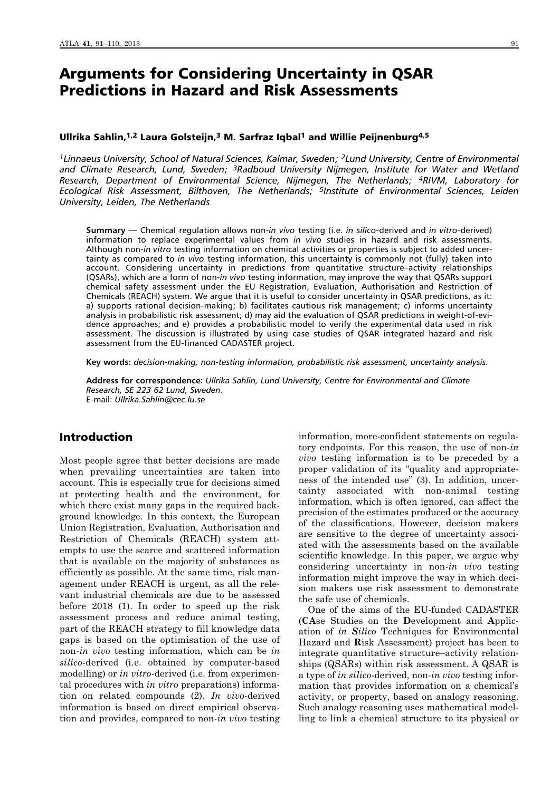# Arguments for Considering Uncertainty in QSAR Predictions in Hazard and Risk Assessments

#### Ullrika Sahlin,<sup>1,2</sup> Laura Golsteijn,<sup>3</sup> M. Sarfraz Iqbal<sup>1</sup> and Willie Peijnenburg<sup>4,5</sup>

*1Linnaeus University, School of Natural Sciences, Kalmar, Sweden; 2Lund University, Centre of Environmental and Climate Research, Lund, Sweden; 3Radboud University Nijmegen, Institute for Water and Wetland Research, Department of Environmental Science, Nijmegen, The Netherlands; 4RIVM, Laboratory for Ecological Risk Assessment, Bilthoven, The Netherlands; 5Institute of Environmental Sciences, Leiden University, Leiden, The Netherlands*

**Summary** — Chemical regulation allows non-*in vivo* testing (i.e. *in silico*-derived and *in vitro*-derived) information to replace experimental values from *in vivo* studies in hazard and risk assessments. Although non-*in vitro* testing information on chemical activities or properties is subject to added uncertainty as compared to *in vivo* testing information, this uncertainty is commonly not (fully) taken into account. Considering uncertainty in predictions from quantitative structure–activity relationships (QSARs), which are a form of non-*in vivo* testing information, may improve the way that QSARs support chemical safety assessment under the EU Registration, Evaluation, Authorisation and Restriction of Chemicals (REACH) system. We argue that it is useful to consider uncertainty in QSAR predictions, as it: a) supports rational decision-making; b) facilitates cautious risk management; c) informs uncertainty analysis in probabilistic risk assessment; d) may aid the evaluation of QSAR predictions in weight-of-evidence approaches; and e) provides a probabilistic model to verify the experimental data used in risk assessment. The discussion is illustrated by using case studies of QSAR integrated hazard and risk assessment from the EU-financed CADASTER project.

**Key words:** *decision-making, non-testing information, probabilistic risk assessment, uncertainty analysis.*

**Address for correspondence:** *Ullrika Sahlin, Lund University, Centre for Environmental and Climate Research, SE 223 62 Lund, Sweden*. E-mail: *Ullrika.Sahlin@cec.lu.se*

## Introduction

Most people agree that better decisions are made when prevailing uncertainties are taken into account. This is especially true for decisions aimed at protecting health and the environment, for which there exist many gaps in the required background knowledge. In this context, the European Union Registration, Evaluation, Authorisation and Restriction of Chemicals (REACH) system attempts to use the scarce and scattered information that is available on the majority of substances as efficiently as possible. At the same time, risk management under REACH is urgent, as all the relevant industrial chemicals are due to be assessed before 2018 (1). In order to speed up the risk assessment process and reduce animal testing, part of the REACH strategy to fill knowledge data gaps is based on the optimisation of the use of non-*in vivo* testing information, which can be *in silico*-derived (i.e. obtained by computer-based modelling) or *in vitro*-derived (i.e. from experimental procedures with *in vitro* preparations) information on related compounds (2). *In vivo*-derived information is based on direct empirical observation and provides, compared to non-*in vivo* testing

information, more-confident statements on regulatory endpoints. For this reason, the use of non-*in vivo* testing information is to be preceded by a proper validation of its "quality and appropriateness of the intended use" (3). In addition, uncertainty associated with non-animal testing information, which is often ignored, can affect the precision of the estimates produced or the accuracy of the classifications. However, decision makers are sensitive to the degree of uncertainty associated with the assessments based on the available scientific knowledge. In this paper, we argue why considering uncertainty in non-*in vivo* testing information might improve the way in which decision makers use risk assessment to demonstrate the safe use of chemicals.

One of the aims of the EU-funded CADASTER (**CA**se Studies on the **D**evelopment and **A**pplic ation of *in Silico* **T**echniques for **E**nvironmental Hazard and **R**isk Assessment) project has been to integrate quantitative structure–activity relationships (QSARs) within risk assessment. A QSAR is a type of *in silico*-derived, non-*in vivo* testing information that provides information on a chemical's activity, or property, based on analogy reasoning. Such analogy reasoning uses mathematical modelling to link a chemical structure to its physical or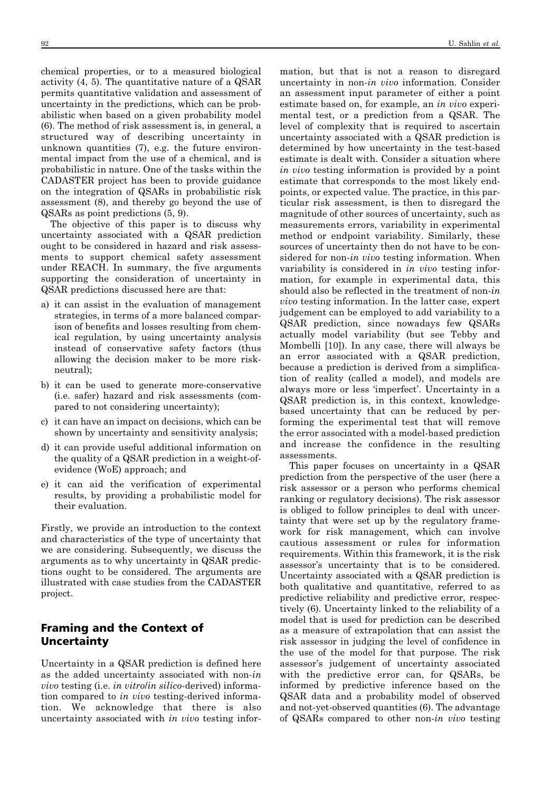chemical properties, or to a measured biological activity (4, 5). The quantitative nature of a QSAR permits quantitative validation and assessment of uncertainty in the predictions, which can be probabilistic when based on a given probability model (6). The method of risk assessment is, in general, a structured way of describing uncertainty in unknown quantities (7), e.g. the future environmental impact from the use of a chemical, and is probabilistic in nature. One of the tasks within the CADASTER project has been to provide guidance on the integration of QSARs in probabilistic risk assessment (8), and thereby go beyond the use of QSARs as point predictions (5, 9).

The objective of this paper is to discuss why uncertainty associated with a QSAR prediction ought to be considered in hazard and risk assessments to support chemical safety assessment under REACH. In summary, the five arguments supporting the consideration of uncertainty in QSAR predictions discussed here are that:

- a) it can assist in the evaluation of management strategies, in terms of a more balanced comparison of benefits and losses resulting from chemical regulation, by using uncertainty analysis instead of conservative safety factors (thus allowing the decision maker to be more riskneutral);
- b) it can be used to generate more-conservative (i.e. safer) hazard and risk assessments (compared to not considering uncertainty);
- c) it can have an impact on decisions, which can be shown by uncertainty and sensitivity analysis;
- d) it can provide useful additional information on the quality of a QSAR prediction in a weight-ofevidence (WoE) approach; and
- e) it can aid the verification of experimental results, by providing a probabilistic model for their evaluation.

Firstly, we provide an introduction to the context and characteristics of the type of uncertainty that we are considering. Subsequently, we discuss the arguments as to why uncertainty in QSAR predictions ought to be considered. The arguments are illustrated with case studies from the CADASTER project.

# Framing and the Context of Uncertainty

Uncertainty in a QSAR prediction is defined here as the added uncertainty associated with non-*in vivo* testing (i.e. *in vitro*/*in silico*-derived) information compared to *in vivo* testing-derived information. We acknowledge that there is also uncertainty associated with *in vivo* testing infor-

mation, but that is not a reason to disregard uncertainty in non-*in vivo* information. Consider an assessment input parameter of either a point estimate based on, for example, an *in vivo* experimental test, or a prediction from a QSAR. The level of complexity that is required to ascertain uncertainty associated with a QSAR prediction is determined by how uncertainty in the test-based estimate is dealt with. Consider a situation where *in vivo* testing information is provided by a point estimate that corresponds to the most likely endpoints, or expected value. The practice, in this particular risk assessment, is then to disregard the magnitude of other sources of uncertainty, such as measurements errors, variability in experimental method or endpoint variability. Similarly, these sources of uncertainty then do not have to be considered for non-*in vivo* testing information. When variability is considered in *in vivo* testing information, for example in experimental data, this should also be reflected in the treatment of non-*in vivo* testing information. In the latter case, expert judgement can be employed to add variability to a QSAR prediction, since nowadays few QSARs actually model variability (but see Tebby and Mombelli [10]). In any case, there will always be an error associated with a QSAR prediction, because a prediction is derived from a simplification of reality (called a model), and models are always more or less 'imperfect'. Uncertainty in a QSAR prediction is, in this context, knowledgebased uncertainty that can be reduced by performing the experimental test that will remove the error associated with a model-based prediction and increase the confidence in the resulting assessments.

This paper focuses on uncertainty in a QSAR prediction from the perspective of the user (here a risk assessor or a person who performs chemical ranking or regulatory decisions). The risk assessor is obliged to follow principles to deal with uncertainty that were set up by the regulatory framework for risk management, which can involve cautious assessment or rules for information requirements. Within this framework, it is the risk assessor's uncertainty that is to be considered. Uncertainty associated with a QSAR prediction is both qualitative and quantitative, referred to as predictive reliability and predictive error, respectively (6). Uncertainty linked to the reliability of a model that is used for prediction can be described as a measure of extrapolation that can assist the risk assessor in judging the level of confidence in the use of the model for that purpose. The risk assessor's judgement of uncertainty associated with the predictive error can, for QSARs, be informed by predictive inference based on the QSAR data and a probability model of observed and not-yet-observed quantities (6). The advantage of QSARs compared to other non-*in vivo* testing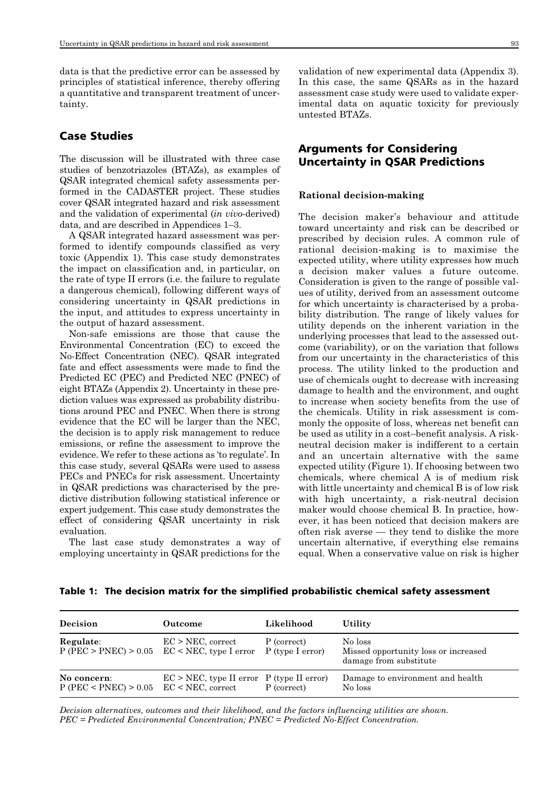data is that the predictive error can be assessed by principles of statistical inference, thereby offering a quantitative and transparent treatment of uncertainty.

### Case Studies

The discussion will be illustrated with three case studies of benzotriazoles (BTAZs), as examples of QSAR integrated chemical safety assessments performed in the CADASTER project. These studies cover QSAR integrated hazard and risk assessment and the validation of experimental (*in vivo*-derived) data, and are described in Appendices  $1-3$ .

A QSAR integrated hazard assessment was performed to identify compounds classified as very toxic (Appendix 1). This case study demonstrates the impact on classification and, in particular, on the rate of type II errors (i.e. the failure to regulate a dangerous chemical), following different ways of considering uncertainty in QSAR predictions in the input, and attitudes to express uncertainty in the output of hazard assessment.

Non-safe emissions are those that cause the Environmental Concentration (EC) to exceed the No-Effect Concentration (NEC). QSAR integrated fate and effect assessments were made to find the Predicted EC (PEC) and Predicted NEC (PNEC) of eight BTAZs (Appendix 2). Uncertainty in these prediction values was expressed as probability distributions around PEC and PNEC. When there is strong evidence that the EC will be larger than the NEC, the decision is to apply risk management to reduce emissions, or refine the assessment to improve the evidence. We refer to these actions as 'to regulate'. In this case study, several QSARs were used to assess PECs and PNECs for risk assessment. Uncertainty in QSAR predictions was characterised by the predictive distribution following statistical inference or expert judgement. This case study demonstrates the effect of considering QSAR uncertainty in risk evaluation.

The last case study demonstrates a way of employing uncertainty in QSAR predictions for the

validation of new experimental data (Appendix 3). In this case, the same QSARs as in the hazard assessment case study were used to validate experimental data on aquatic toxicity for previously untested BTAZs.

# Arguments for Considering Uncertainty in QSAR Predictions

### **Rational decision-making**

The decision maker's behaviour and attitude toward uncertainty and risk can be described or prescribed by decision rules. A common rule of rational decision-making is to maximise the expected utility, where utility expresses how much a decision maker values a future outcome. Consideration is given to the range of possible values of utility, derived from an assessment outcome for which uncertainty is characterised by a probability distribution. The range of likely values for utility depends on the inherent variation in the underlying processes that lead to the assessed outcome (variability), or on the variation that follows from our uncertainty in the characteristics of this process. The utility linked to the production and use of chemicals ought to decrease with increasing damage to health and the environment, and ought to increase when society benefits from the use of the chemicals. Utility in risk assessment is commonly the opposite of loss, whereas net benefit can be used as utility in a cost–benefit analysis. A riskneutral decision maker is indifferent to a certain and an uncertain alternative with the same expected utility (Figure 1). If choosing between two chemicals, where chemical A is of medium risk with little uncertainty and chemical B is of low risk with high uncertainty, a risk-neutral decision maker would choose chemical B. In practice, however, it has been noticed that decision makers are often risk averse — they tend to dislike the more uncertain alternative, if everything else remains equal. When a conservative value on risk is higher

| Table 1: The decision matrix for the simplified probabilistic chemical safety assessment |
|------------------------------------------------------------------------------------------|
|------------------------------------------------------------------------------------------|

| Decision                                                    | Outcome                                                                                     | Likelihood  | Utility                                                                   |
|-------------------------------------------------------------|---------------------------------------------------------------------------------------------|-------------|---------------------------------------------------------------------------|
| Regulate:                                                   | $EC > NEC$ , correct<br>$P(PEC > PNEC) > 0.05$ $EC < NEC$ , type I error $P$ (type I error) | P (correct) | No loss<br>Missed opportunity loss or increased<br>damage from substitute |
| No concern:<br>$P (PEC < PNEC) > 0.05$ $EC < NEC$ , correct | $EC > NEC$ , type II error P (type II error)                                                | P (correct) | Damage to environment and health<br>No loss                               |

*Decision alternatives, outcomes and their likelihood, and the factors influencing utilities are shown. PEC = Predicted Environmental Concentration; PNEC = Predicted No-Effect Concentration.*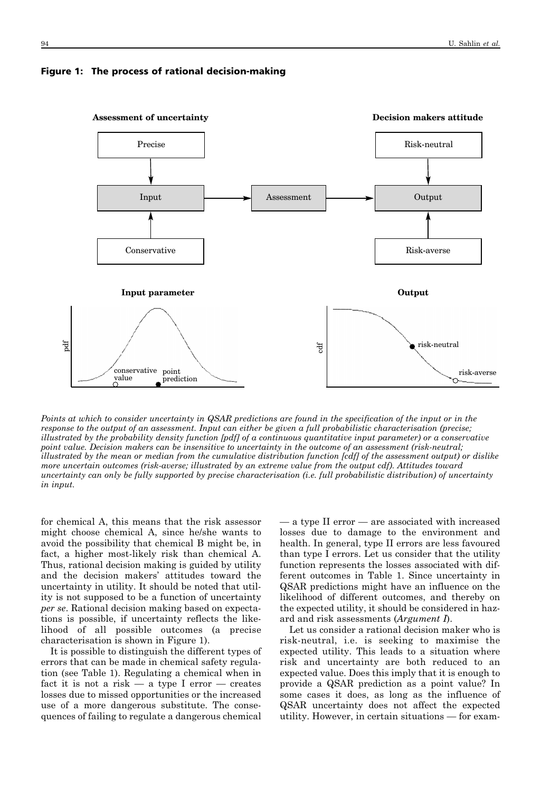

### Figure 1: The process of rational decision-making

*Points at which to consider uncertainty in QSAR predictions are found in the specification of the input or in the response to the output of an assessment. Input can either be given a full probabilistic characterisation (precise; illustrated by the probability density function [pdf] of a continuous quantitative input parameter) or a conservative point value. Decision makers can be insensitive to uncertainty in the outcome of an assessment (risk-neutral; illustrated by the mean or median from the cumulative distribution function [cdf] of the assessment output) or dislike more uncertain outcomes (risk-averse; illustrated by an extreme value from the output cdf). Attitudes toward uncertainty can only be fully supported by precise characterisation (i.e. full probabilistic distribution) of uncertainty in input.* 

for chemical A, this means that the risk assessor might choose chemical A, since he/she wants to avoid the possibility that chemical B might be, in fact, a higher most-likely risk than chemical A. Thus, rational decision making is guided by utility and the decision makers' attitudes toward the uncertainty in utility. It should be noted that utility is not supposed to be a function of uncertainty *per se*. Rational decision making based on expectations is possible, if uncertainty reflects the like lihood of all possible outcomes (a precise characterisation is shown in Figure 1).

It is possible to distinguish the different types of errors that can be made in chemical safety regulation (see Table 1). Regulating a chemical when in fact it is not a risk — a type I error — creates losses due to missed opportunities or the increased use of a more dangerous substitute. The consequences of failing to regulate a dangerous chemical

— a type II error — are associated with increased losses due to damage to the environment and health. In general, type II errors are less favoured than type I errors. Let us consider that the utility function represents the losses associated with different outcomes in Table 1. Since uncertainty in QSAR predictions might have an influence on the likelihood of different outcomes, and thereby on the expected utility, it should be considered in hazard and risk assessments (*Argument I*).

Let us consider a rational decision maker who is risk-neutral, i.e. is seeking to maximise the expected utility. This leads to a situation where risk and uncertainty are both reduced to an expected value. Does this imply that it is enough to provide a QSAR prediction as a point value? In some cases it does, as long as the influence of QSAR uncertainty does not affect the expected utility. However, in certain situations — for exam-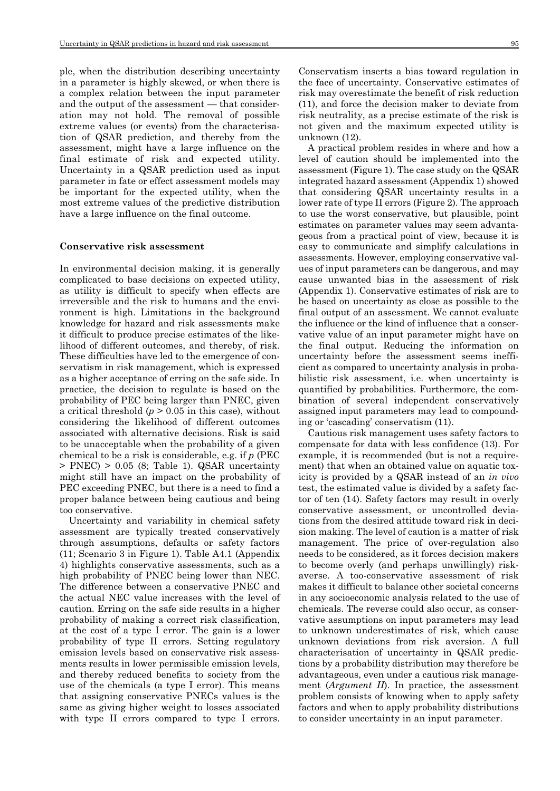ple, when the distribution describing uncertainty in a parameter is highly skewed, or when there is a complex relation between the input parameter and the output of the assessment — that consideration may not hold. The removal of possible extreme values (or events) from the characterisation of QSAR prediction, and thereby from the assessment, might have a large influence on the final estimate of risk and expected utility. Uncertainty in a QSAR prediction used as input parameter in fate or effect assessment models may be important for the expected utility, when the most extreme values of the predictive distribution have a large influence on the final outcome.

#### **Conservative risk assessment**

In environmental decision making, it is generally complicated to base decisions on expected utility, as utility is difficult to specify when effects are irreversible and the risk to humans and the environment is high. Limitations in the background knowledge for hazard and risk assessments make it difficult to produce precise estimates of the likelihood of different outcomes, and thereby, of risk. These difficulties have led to the emergence of conservatism in risk management, which is expressed as a higher acceptance of erring on the safe side. In practice, the decision to regulate is based on the probability of PEC being larger than PNEC, given a critical threshold  $(p > 0.05$  in this case), without considering the likelihood of different outcomes associated with alternative decisions. Risk is said to be unacceptable when the probability of a given chemical to be a risk is considerable, e.g. if *p* (PEC  $>$  PNEC)  $>$  0.05 (8; Table 1). QSAR uncertainty might still have an impact on the probability of PEC exceeding PNEC, but there is a need to find a proper balance between being cautious and being too conservative.

Uncertainty and variability in chemical safety assessment are typically treated conservatively through assumptions, defaults or safety factors (11; Scenario 3 in Figure 1). Table A4.1 (Appendix 4) highlights conservative assessments, such as a high probability of PNEC being lower than NEC. The difference between a conservative PNEC and the actual NEC value increases with the level of caution. Erring on the safe side results in a higher probability of making a correct risk classification, at the cost of a type I error. The gain is a lower probability of type II errors. Setting regulatory emission levels based on conservative risk assessments results in lower permissible emission levels, and thereby reduced benefits to society from the use of the chemicals (a type I error). This means that assigning conservative PNECs values is the same as giving higher weight to losses associated with type II errors compared to type I errors. Conservatism inserts a bias toward regulation in the face of uncertainty. Conservative estimates of risk may overestimate the benefit of risk reduction (11), and force the decision maker to deviate from risk neutrality, as a precise estimate of the risk is not given and the maximum expected utility is unknown (12).

A practical problem resides in where and how a level of caution should be implemented into the assessment (Figure 1). The case study on the QSAR integrated hazard assessment (Appendix 1) showed that considering QSAR uncertainty results in a lower rate of type II errors (Figure 2). The approach to use the worst conservative, but plausible, point estimates on parameter values may seem advantageous from a practical point of view, because it is easy to communicate and simplify calculations in assessments. However, employing conservative values of input parameters can be dangerous, and may cause unwanted bias in the assessment of risk (Appendix 1). Conservative estimates of risk are to be based on uncertainty as close as possible to the final output of an assessment. We cannot evaluate the influence or the kind of influence that a conservative value of an input parameter might have on the final output. Reducing the information on uncertainty before the assessment seems inefficient as compared to uncertainty analysis in probabilistic risk assessment, i.e. when uncertainty is quantified by probabilities. Furthermore, the combination of several independent conservatively assigned input parameters may lead to compounding or 'cascading' conservatism (11).

Cautious risk management uses safety factors to compensate for data with less confidence (13). For example, it is recommended (but is not a requirement) that when an obtained value on aquatic toxicity is provided by a QSAR instead of an *in vivo* test, the estimated value is divided by a safety factor of ten (14). Safety factors may result in overly conservative assessment, or uncontrolled deviations from the desired attitude toward risk in decision making. The level of caution is a matter of risk management. The price of over-regulation also needs to be considered, as it forces decision makers to become overly (and perhaps unwillingly) riskaverse. A too-conservative assessment of risk makes it difficult to balance other societal concerns in any socioeconomic analysis related to the use of chemicals. The reverse could also occur, as conservative assumptions on input parameters may lead to unknown underestimates of risk, which cause unknown deviations from risk aversion. A full characterisation of uncertainty in QSAR predictions by a probability distribution may therefore be advantageous, even under a cautious risk management *(Argument II)*. In practice, the assessment problem consists of knowing when to apply safety factors and when to apply probability distributions to consider uncertainty in an input parameter.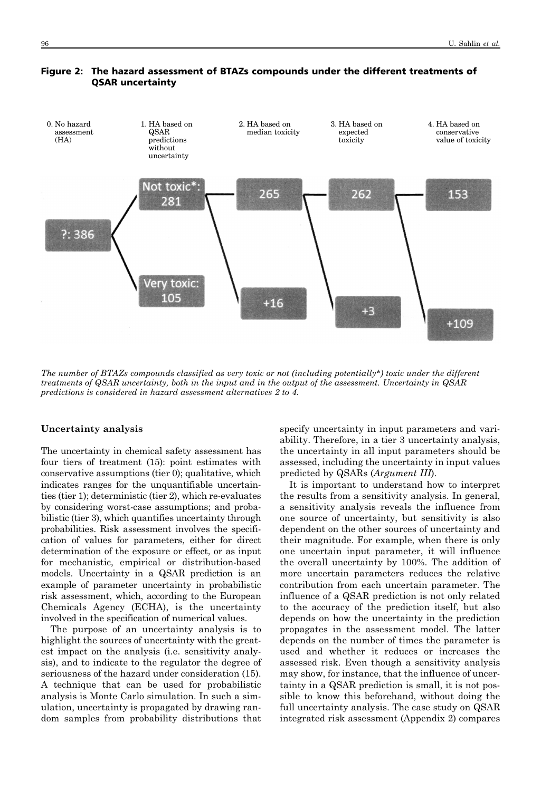

### Figure 2: The hazard assessment of BTAZs compounds under the different treatments of QSAR uncertainty

*The number of BTAZs compounds classified as very toxic or not (including potentially\*) toxic under the different treatments of QSAR uncertainty, both in the input and in the output of the assessment. Uncertainty in QSAR predictions is considered in hazard assessment alternatives 2 to 4.*

### **Uncertainty analysis**

The uncertainty in chemical safety assessment has four tiers of treatment (15): point estimates with conservative assumptions (tier 0); qualitative, which indicates ranges for the unquantifiable uncertainties (tier 1); deterministic (tier 2), which re-evaluates by considering worst-case assumptions; and probabilistic (tier 3), which quantifies uncertainty through probabilities. Risk assessment involves the specification of values for parameters, either for direct determination of the exposure or effect, or as input for mechanistic, empirical or distribution-based models. Uncertainty in a QSAR prediction is an example of parameter uncertainty in probabilistic risk assessment, which, according to the European Chemicals Agency (ECHA), is the uncertainty involved in the specification of numerical values.

The purpose of an uncertainty analysis is to highlight the sources of uncertainty with the greatest impact on the analysis (i.e. sensitivity analysis), and to indicate to the regulator the degree of seriousness of the hazard under consideration (15). A technique that can be used for probabilistic analysis is Monte Carlo simulation. In such a simulation, uncertainty is propagated by drawing random samples from probability distributions that

specify uncertainty in input parameters and variability. Therefore, in a tier 3 uncertainty analysis, the uncertainty in all input parameters should be assessed, including the uncertainty in input values predicted by QSARs (*Argument III*).

It is important to understand how to interpret the results from a sensitivity analysis. In general, a sensitivity analysis reveals the influence from one source of uncertainty, but sensitivity is also dependent on the other sources of uncertainty and their magnitude. For example, when there is only one uncertain input parameter, it will influence the overall uncertainty by 100%. The addition of more uncertain parameters reduces the relative contribution from each uncertain parameter. The influence of a QSAR prediction is not only related to the accuracy of the prediction itself, but also depends on how the uncertainty in the prediction propagates in the assessment model. The latter depends on the number of times the parameter is used and whether it reduces or increases the assessed risk. Even though a sensitivity analysis may show, for instance, that the influence of uncertainty in a QSAR prediction is small, it is not possible to know this beforehand, without doing the full uncertainty analysis. The case study on QSAR integrated risk assessment (Appendix 2) compares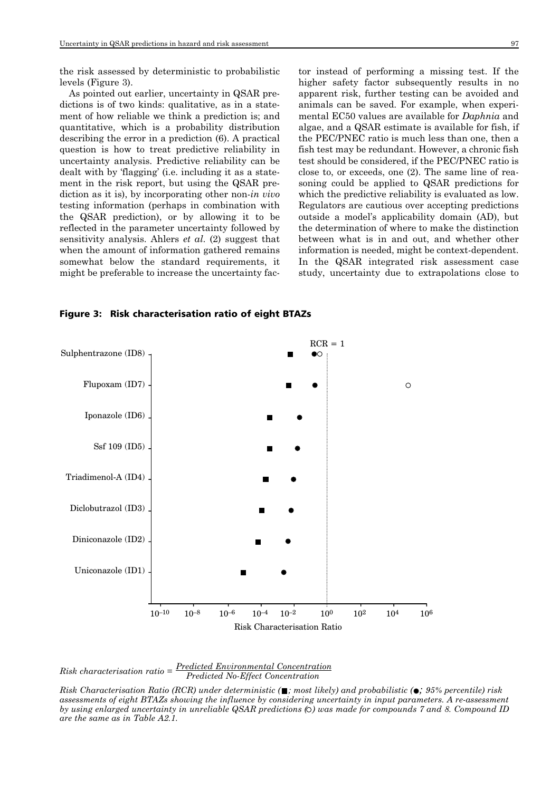the risk assessed by deterministic to probabilistic levels (Figure 3).

As pointed out earlier, uncertainty in QSAR predictions is of two kinds: qualitative, as in a statement of how reliable we think a prediction is; and quantitative, which is a probability distribution describing the error in a prediction (6). A practical question is how to treat predictive reliability in uncertainty analysis. Predictive reliability can be dealt with by 'flagging' (i.e. including it as a statement in the risk report, but using the QSAR prediction as it is), by incorporating other non-*in vivo* testing information (perhaps in combination with the QSAR prediction), or by allowing it to be reflected in the parameter uncertainty followed by sensitivity analysis. Ahlers *et al*. (2) suggest that when the amount of information gathered remains somewhat below the standard requirements, it might be preferable to increase the uncertainty factor instead of performing a missing test. If the higher safety factor subsequently results in no apparent risk, further testing can be avoided and animals can be saved. For example, when experimental EC50 values are available for *Daphnia* and algae, and a QSAR estimate is available for fish, if the PEC/PNEC ratio is much less than one, then a fish test may be redundant. However, a chronic fish test should be considered, if the PEC/PNEC ratio is close to, or exceeds, one (2). The same line of reasoning could be applied to QSAR predictions for which the predictive reliability is evaluated as low. Regulators are cautious over accepting predictions outside a model's applicability domain (AD), but the determination of where to make the distinction between what is in and out, and whether other information is needed, might be context-dependent. In the QSAR integrated risk assessment case study, uncertainty due to extrapolations close to

Figure 3: Risk characterisation ratio of eight BTAZs



# *Predicted Environmental Concentration Risk characterisation ratio = Predicted No-Effect Concentration*

*Risk Characterisation Ratio (RCR) under deterministic ( ; most likely) and probabilistic ( ; 95% percentile) risk assessments of eight BTAZs showing the influence by considering uncertainty in input parameters. A re-assessment by using enlarged uncertainty in unreliable QSAR predictions ( ) was made for compounds 7 and 8. Compound ID are the same as in Table A2.1.*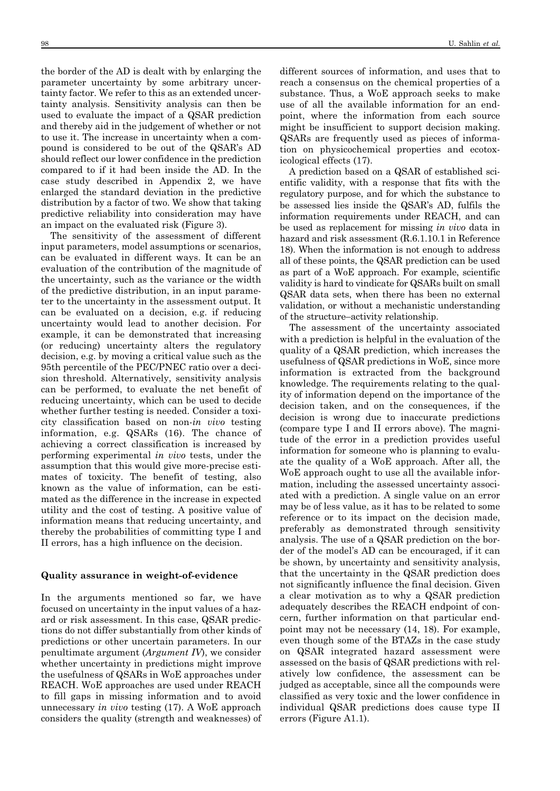the border of the AD is dealt with by enlarging the parameter uncertainty by some arbitrary uncertainty factor. We refer to this as an extended uncertainty analysis. Sensitivity analysis can then be used to evaluate the impact of a QSAR prediction and thereby aid in the judgement of whether or not to use it. The increase in uncertainty when a compound is considered to be out of the QSAR's AD should reflect our lower confidence in the prediction compared to if it had been inside the AD. In the case study described in Appendix 2, we have enlarged the standard deviation in the predictive distribution by a factor of two. We show that taking predictive reliability into consideration may have an impact on the evaluated risk (Figure 3).

The sensitivity of the assessment of different input parameters, model assumptions or scenarios, can be evaluated in different ways. It can be an evaluation of the contribution of the magnitude of the uncertainty, such as the variance or the width of the predictive distribution, in an input parameter to the uncertainty in the assessment output. It can be evaluated on a decision, e.g. if reducing uncertainty would lead to another decision. For example, it can be demonstrated that increasing (or reducing) uncertainty alters the regulatory decision, e.g. by moving a critical value such as the 95th percentile of the PEC/PNEC ratio over a decision threshold. Alternatively, sensitivity analysis can be performed, to evaluate the net benefit of reducing uncertainty, which can be used to decide whether further testing is needed. Consider a toxicity classification based on non-*in vivo* testing information, e.g. QSARs (16). The chance of achieving a correct classification is increased by performing experimental *in vivo* tests, under the assumption that this would give more-precise estimates of toxicity. The benefit of testing, also known as the value of information, can be estimated as the difference in the increase in expected utility and the cost of testing. A positive value of information means that reducing uncertainty, and thereby the probabilities of committing type I and II errors, has a high influence on the decision.

#### **Quality assurance in weight-of-evidence**

In the arguments mentioned so far, we have focused on uncertainty in the input values of a hazard or risk assessment. In this case, QSAR predictions do not differ substantially from other kinds of predictions or other uncertain parameters. In our penultimate argument (*Argument IV*), we consider whether uncertainty in predictions might improve the usefulness of QSARs in WoE approaches under REACH. WoE approaches are used under REACH to fill gaps in missing information and to avoid unnecessary *in vivo* testing (17). A WoE approach considers the quality (strength and weaknesses) of different sources of information, and uses that to reach a consensus on the chemical properties of a substance. Thus, a WoE approach seeks to make use of all the available information for an endpoint, where the information from each source might be insufficient to support decision making. QSARs are frequently used as pieces of information on physicochemical properties and ecotoxicological effects (17).

A prediction based on a QSAR of established scientific validity, with a response that fits with the regulatory purpose, and for which the substance to be assessed lies inside the QSAR's AD, fulfils the information requirements under REACH, and can be used as replacement for missing *in vivo* data in hazard and risk assessment (R.6.1.10.1 in Reference 18). When the information is not enough to address all of these points, the QSAR prediction can be used as part of a WoE approach. For example, scientific validity is hard to vindicate for QSARs built on small QSAR data sets, when there has been no external validation, or without a mechanistic understanding of the structure–activity relationship.

The assessment of the uncertainty associated with a prediction is helpful in the evaluation of the quality of a QSAR prediction, which increases the usefulness of QSAR predictions in WoE, since more information is extracted from the background knowledge. The requirements relating to the quality of information depend on the importance of the decision taken, and on the consequences, if the decision is wrong due to inaccurate predictions (compare type I and II errors above). The magnitude of the error in a prediction provides useful information for someone who is planning to evaluate the quality of a WoE approach. After all, the WoE approach ought to use all the available information, including the assessed uncertainty associated with a prediction. A single value on an error may be of less value, as it has to be related to some reference or to its impact on the decision made, preferably as demonstrated through sensitivity analysis. The use of a QSAR prediction on the border of the model's AD can be encouraged, if it can be shown, by uncertainty and sensitivity analysis, that the uncertainty in the QSAR prediction does not significantly influence the final decision. Given a clear motivation as to why a QSAR prediction adequately describes the REACH endpoint of concern, further information on that particular endpoint may not be necessary (14, 18). For example, even though some of the BTAZs in the case study on QSAR integrated hazard assessment were assessed on the basis of QSAR predictions with relatively low confidence, the assessment can be judged as acceptable, since all the compounds were classified as very toxic and the lower confidence in individual QSAR predictions does cause type II errors (Figure A1.1).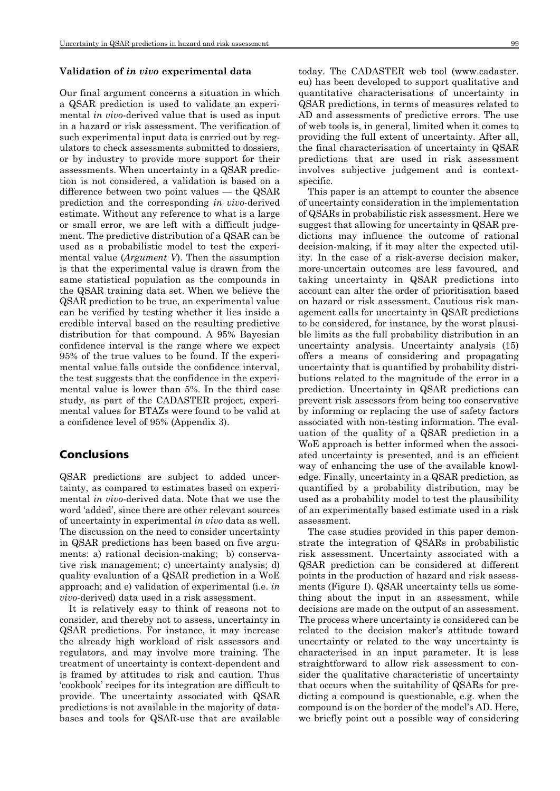#### **Validation of** *in vivo* **experimental data**

Our final argument concerns a situation in which a QSAR prediction is used to validate an experimental *in vivo-*derived value that is used as input in a hazard or risk assessment. The verification of such experimental input data is carried out by regulators to check assessments submitted to dossiers, or by industry to provide more support for their assessments. When uncertainty in a QSAR prediction is not considered, a validation is based on a difference between two point values — the QSAR prediction and the corresponding *in vivo*-derived estimate. Without any reference to what is a large or small error, we are left with a difficult judgement. The predictive distribution of a QSAR can be used as a probabilistic model to test the experimental value (*Argument V*). Then the assumption is that the experimental value is drawn from the same statistical population as the compounds in the QSAR training data set. When we believe the QSAR prediction to be true, an experimental value can be verified by testing whether it lies inside a credible interval based on the resulting predictive distribution for that compound. A 95% Bayesian confidence interval is the range where we expect 95% of the true values to be found. If the experimental value falls outside the confidence interval, the test suggests that the confidence in the experimental value is lower than 5%. In the third case study, as part of the CADASTER project, experimental values for BTAZs were found to be valid at a confidence level of 95% (Appendix 3).

# Conclusions

QSAR predictions are subject to added uncertainty, as compared to estimates based on experimental *in vivo-*derived data. Note that we use the word 'added', since there are other relevant sources of uncertainty in experimental *in vivo* data as well. The discussion on the need to consider uncertainty in QSAR predictions has been based on five arguments: a) rational decision-making; b) conservative risk management; c) uncertainty analysis; d) quality evaluation of a QSAR prediction in a WoE approach; and e) validation of experimental (i.e. *in vivo-*derived) data used in a risk assessment.

It is relatively easy to think of reasons not to consider, and thereby not to assess, uncertainty in QSAR predictions. For instance, it may increase the already high workload of risk assessors and regulators, and may involve more training. The treatment of uncertainty is context-dependent and is framed by attitudes to risk and caution. Thus 'cookbook' recipes for its integration are difficult to provide. The uncertainty associated with QSAR predictions is not available in the majority of databases and tools for QSAR-use that are available today. The CADASTER web tool (www.cadaster. eu) has been developed to support qualitative and quantitative characterisations of uncertainty in QSAR predictions, in terms of measures related to AD and assessments of predictive errors. The use of web tools is, in general, limited when it comes to providing the full extent of uncertainty. After all, the final characterisation of uncertainty in QSAR predictions that are used in risk assessment involves subjective judgement and is contextspecific.

This paper is an attempt to counter the absence of uncertainty consideration in the implementation of QSARs in probabilistic risk assessment. Here we suggest that allowing for uncertainty in QSAR predictions may influence the outcome of rational decision-making, if it may alter the expected utility. In the case of a risk-averse decision maker, more-uncertain outcomes are less favoured, and taking uncertainty in QSAR predictions into account can alter the order of prioritisation based on hazard or risk assessment. Cautious risk management calls for uncertainty in QSAR predictions to be considered, for instance, by the worst plausible limits as the full probability distribution in an uncertainty analysis. Uncertainty analysis (15) offers a means of considering and propagating uncertainty that is quantified by probability distributions related to the magnitude of the error in a prediction. Uncertainty in QSAR predictions can prevent risk assessors from being too conservative by informing or replacing the use of safety factors associated with non-testing information. The evaluation of the quality of a QSAR prediction in a WoE approach is better informed when the associated uncertainty is presented, and is an efficient way of enhancing the use of the available knowledge. Finally, uncertainty in a QSAR prediction, as quantified by a probability distribution, may be used as a probability model to test the plausibility of an experimentally based estimate used in a risk assessment.

The case studies provided in this paper demonstrate the integration of QSARs in probabilistic risk assessment. Uncertainty associated with a QSAR prediction can be considered at different points in the production of hazard and risk assessments (Figure 1). QSAR uncertainty tells us something about the input in an assessment, while decisions are made on the output of an assessment. The process where uncertainty is considered can be related to the decision maker's attitude toward uncertainty or related to the way uncertainty is characterised in an input parameter. It is less straightforward to allow risk assessment to consider the qualitative characteristic of uncertainty that occurs when the suitability of QSARs for predicting a compound is questionable, e.g. when the compound is on the border of the model's AD. Here, we briefly point out a possible way of considering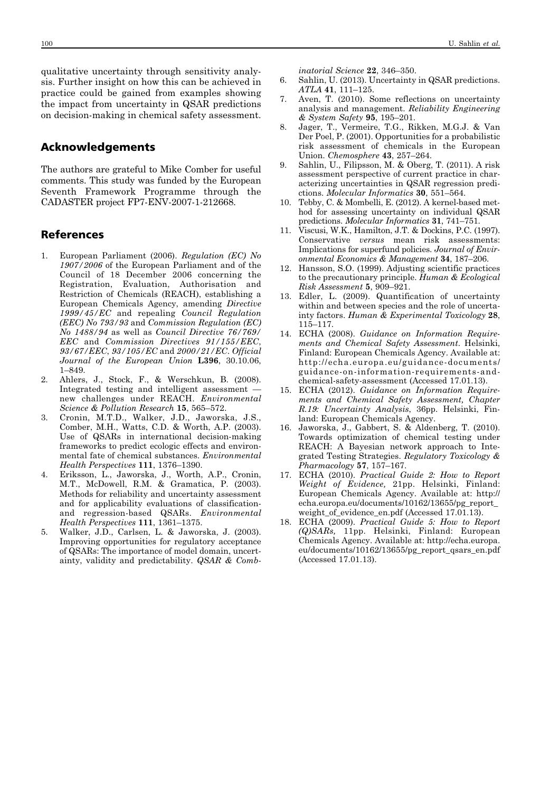### Acknowledgements

The authors are grateful to Mike Comber for useful comments. This study was funded by the European Seventh Framework Programme through the CADASTER project FP7-ENV-2007-1-212668.

### References

- 1. European Parliament (2006). *Regulation (EC) No 1907/2006* of the European Parliament and of the Council of 18 December 2006 concerning the Registration, Evaluation, Authorisation and Restriction of Chemicals (REACH), establishing a European Chemicals Agency, amending *Directive 1999/45/EC* and repealing *Council Regulation (EEC) No 793/93* and *Commission Regulation (EC) No 1488/94* as well as *Council Directive 76/769/ EEC* and *Commission Directives 91/155/EEC*, *93/67/EEC*, *93/105/EC* and *2000/21/EC*. *Official Journal of the European Union* **L396**, 30.10.06, 1–849.
- 2. Ahlers, J., Stock, F., & Werschkun, B. (2008). Integrated testing and intelligent assessment new challenges under REACH. *Environmental Science & Pollution Research* **15**, 565–572.
- 3. Cronin, M.T.D., Walker, J.D., Jaworska, J.S., Comber, M.H., Watts, C.D. & Worth, A.P. (2003). Use of QSARs in international decision-making frameworks to predict ecologic effects and environmental fate of chemical substances. *Environmental Health Perspectives* **111**, 1376–1390.
- 4. Eriksson, L., Jaworska, J., Worth, A.P., Cronin, M.T., McDowell, R.M. & Gramatica, P. (2003). Methods for reliability and uncertainty assessment and for applicability evaluations of classificationand regression-based QSARs. *Environmental Health Perspectives* **111**, 1361–1375.
- 5. Walker, J.D., Carlsen, L. & Jaworska, J. (2003). Improving opportunities for regulatory acceptance of QSARs: The importance of model domain, uncertainty, validity and predictability. *QSAR & Comb -*

*ina torial Science* **22**, 346–350.

- 6. Sahlin, U. (2013). Uncertainty in QSAR predictions. *ATLA* **41**, 111–125.
- 7. Aven, T. (2010). Some reflections on uncertainty analysis and management. *Reliability Engineering & System Safety* **95**, 195–201.
- 8. Jager, T., Vermeire, T.G., Rikken, M.G.J. & Van Der Poel, P. (2001). Opportunities for a probabilistic risk assessment of chemicals in the European Union. *Chemosphere* **43**, 257–264.
- 9. Sahlin, U., Filipsson, M. & Oberg, T. (2011). A risk assessment perspective of current practice in characterizing uncertainties in QSAR regression predictions. *Molecular Informatics* **30**, 551–564.
- 10. Tebby, C. & Mombelli, E. (2012). A kernel-based method for assessing uncertainty on individual QSAR predictions. *Molecular Informatics* **31**, 741–751.
- 11. Viscusi, W.K., Hamilton, J.T. & Dockins, P.C. (1997). Conservative *versus* mean risk assessments: Implications for superfund policies. *Journal of Envir onmental Economics & Management* **34**, 187–206.
- 12. Hansson, S.O. (1999). Adjusting scientific practices to the precautionary principle. *Human & Ecological Risk Assessment* **5**, 909–921.
- 13. Edler, L. (2009). Quantification of uncertainty within and between species and the role of uncertainty factors. *Human & Experimental Toxicology* **28**, 115–117.
- 14. ECHA (2008). *Guidance on Information Require ments and Chemical Safety Assessment*. Helsinki, Finland: European Chemicals Agency. Available at: http://echa.europa.eu/guidance-documents/ guidance-on-information-requirements-andchemical-safety-assessment (Accessed 17.01.13).
- 15. ECHA (2012). *Guidance on Information Require ments and Chemical Safety Assessment, Chapter R.19: Uncertainty Analysis*, 36pp. Helsinki, Finland: European Chemicals Agency.
- 16. Jaworska, J., Gabbert, S. & Aldenberg, T. (2010). Towards optimization of chemical testing under REACH: A Bayesian network approach to Integrated Testing Strategies. *Regulatory Toxicology & Pharmacology* **57**, 157–167.
- 17. ECHA (2010). *Practical Guide 2: How to Report Weight of Evidence,* 21pp. Helsinki, Finland: European Chemicals Agency. Available at: http:// echa.europa.eu/documents/10162/13655/pg\_report\_ weight\_of\_evidence\_en.pdf (Accessed 17.01.13).
- 18. ECHA (2009). *Practical Guide 5: How to Report (Q)SARs,* 11pp. Helsinki, Finland: European Chemicals Agency. Available at: http://echa.europa. eu/documents/10162/13655/pg\_report\_qsars\_en.pdf (Accessed 17.01.13).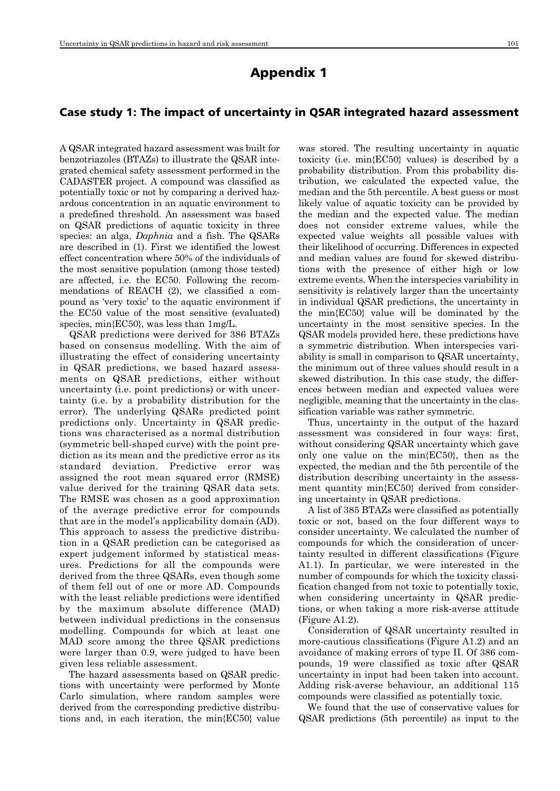## Case study 1: The impact of uncertainty in QSAR integrated hazard assessment

A QSAR integrated hazard assessment was built for benzotriazoles (BTAZs) to illustrate the QSAR integrated chemical safety assessment performed in the CADASTER project. A compound was classified as potentially toxic or not by comparing a derived hazardous concentration in an aquatic environment to a predefined threshold. An assessment was based on QSAR predictions of aquatic toxicity in three species: an alga, *Daphnia* and a fish. The QSARs are described in (1). First we identified the lowest effect concentration where 50% of the individuals of the most sensitive population (among those tested) are affected, i.e. the EC50. Following the recommendations of REACH (2), we classified a compound as 'very toxic' to the aquatic environment if the EC50 value of the most sensitive (evaluated) species, min{EC50}, was less than 1mg/L.

QSAR predictions were derived for 386 BTAZs based on consensus modelling. With the aim of illustrating the effect of considering uncertainty in QSAR predictions, we based hazard assessments on QSAR predictions, either without uncertainty (i.e. point predictions) or with uncertainty (i.e. by a probability distribution for the error). The underlying QSARs predicted point predictions only. Uncertainty in QSAR predictions was characterised as a normal distribution (symmetric bell-shaped curve) with the point prediction as its mean and the predictive error as its standard deviation. Predictive error was assigned the root mean squared error (RMSE) value derived for the training QSAR data sets. The RMSE was chosen as a good approximation of the average predictive error for compounds that are in the model's applicability domain (AD). This approach to assess the predictive distribution in a QSAR prediction can be categorised as expert judgement informed by statistical measures. Predictions for all the compounds were derived from the three QSARs, even though some of them fell out of one or more AD. Compounds with the least reliable predictions were identified by the maximum absolute difference (MAD) between individual predictions in the consensus modelling. Compounds for which at least one MAD score among the three QSAR predictions were larger than 0.9, were judged to have been given less reliable assessment.

The hazard assessments based on QSAR predictions with uncertainty were performed by Monte Carlo simulation, where random samples were derived from the corresponding predictive distributions and, in each iteration, the min{EC50} value was stored. The resulting uncertainty in aquatic toxicity (i.e. min{EC50} values) is described by a probability distribution. From this probability distribution, we calculated the expected value, the median and the 5th percentile. A best guess or most likely value of aquatic toxicity can be provided by the median and the expected value. The median does not consider extreme values, while the expected value weights all possible values with their likelihood of occurring. Differences in expected and median values are found for skewed distributions with the presence of either high or low extreme events. When the interspecies variability in sensitivity is relatively larger than the uncertainty in individual QSAR predictions, the uncertainty in the min{EC50} value will be dominated by the uncertainty in the most sensitive species. In the QSAR models provided here, these predictions have a symmetric distribution. When interspecies variability is small in comparison to QSAR uncertainty, the minimum out of three values should result in a skewed distribution. In this case study, the differences between median and expected values were negligible, meaning that the uncertainty in the classification variable was rather symmetric.

Thus, uncertainty in the output of the hazard assessment was considered in four ways: first, without considering QSAR uncertainty which gave only one value on the min{EC50}, then as the expected, the median and the 5th percentile of the distribution describing uncertainty in the assessment quantity min{EC50} derived from considering uncertainty in QSAR predictions.

A list of 385 BTAZs were classified as potentially toxic or not, based on the four different ways to consider uncertainty. We calculated the number of compounds for which the consideration of uncertainty resulted in different classifications (Figure A1.1). In particular, we were interested in the number of compounds for which the toxicity classification changed from not toxic to potentially toxic, when considering uncertainty in QSAR predictions, or when taking a more risk-averse attitude (Figure A1.2).

Consideration of QSAR uncertainty resulted in more-cautious classifications (Figure A1.2) and an avoidance of making errors of type II. Of 386 compounds, 19 were classified as toxic after QSAR uncertainty in input had been taken into account. Adding risk-averse behaviour, an additional 115 compounds were classified as potentially toxic.

We found that the use of conservative values for QSAR predictions (5th percentile) as input to the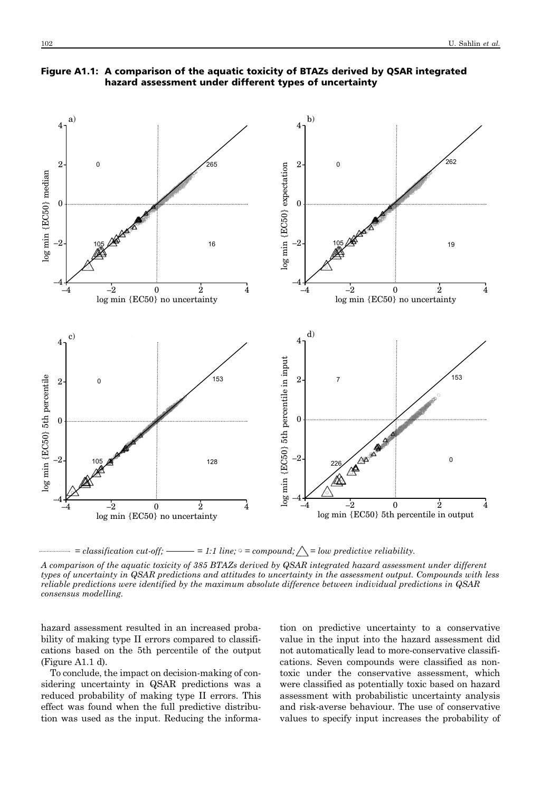

### Figure A1.1: A comparison of the aquatic toxicity of BTAZs derived by QSAR integrated hazard assessment under different types of uncertainty

 $=$  classification cut-off;  $\frac{1}{2}$  = 1:1 line;  $\circ$  = compound;  $\triangle$  = low predictive reliability.

*A comparison of the aquatic toxicity of 385 BTAZs derived by QSAR integrated hazard assessment under different types of uncertainty in QSAR predictions and attitudes to uncertainty in the assessment output. Compounds with less reliable predictions were identified by the maximum absolute difference between individual predictions in QSAR consensus modelling.* 

hazard assessment resulted in an increased probability of making type II errors compared to classifications based on the 5th percentile of the output (Figure A1.1 d).

To conclude, the impact on decision-making of considering uncertainty in QSAR predictions was a reduced probability of making type II errors. This effect was found when the full predictive distribution was used as the input. Reducing the information on predictive uncertainty to a conservative value in the input into the hazard assessment did not automatically lead to more-conservative classifications. Seven compounds were classified as nontoxic under the conservative assessment, which were classified as potentially toxic based on hazard assessment with probabilistic uncertainty analysis and risk-averse behaviour. The use of conservative values to specify input increases the probability of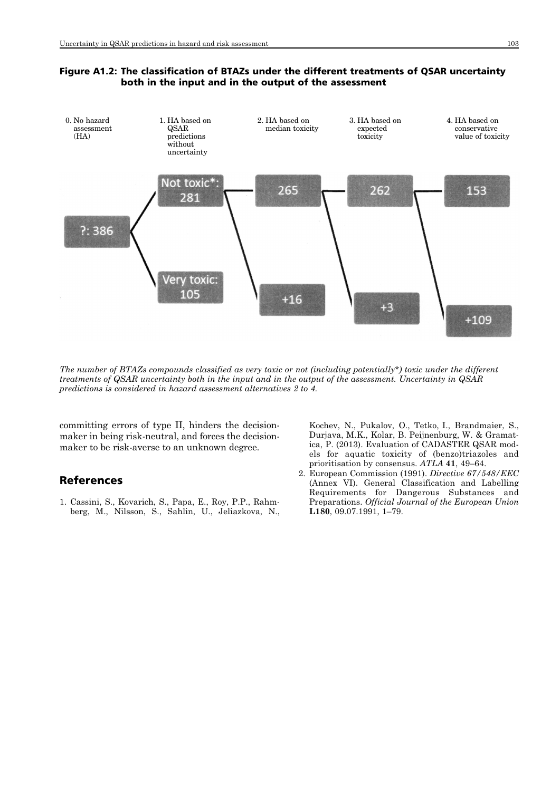



*The number of BTAZs compounds classified as very toxic or not (including potentially\*) toxic under the different treatments of QSAR uncertainty both in the input and in the output of the assessment. Uncertainty in QSAR predictions is considered in hazard assessment alternatives 2 to 4.*

committing errors of type II, hinders the decisionmaker in being risk-neutral, and forces the decisionmaker to be risk-averse to an unknown degree.

# References

1. Cassini, S., Kovarich, S., Papa, E., Roy, P.P., Rahmberg, M., Nilsson, S., Sahlin, U., Jeliazkova, N., Kochev, N., Pukalov, O., Tetko, I., Brandmaier, S., Durjava, M.K., Kolar, B. Peijnenburg, W. & Gramatica, P. (2013). Evaluation of CADASTER QSAR models for aquatic toxicity of (benzo)triazoles and prioritisation by consensus. *ATLA* **41**, 49–64.

2. European Commission (1991). *Directive 67/548/EEC* (Annex VI). General Classification and Labelling Requirements for Dangerous Substances and Preparations. *Official Journal of the European Union* **L180**, 09.07.1991, 1–79.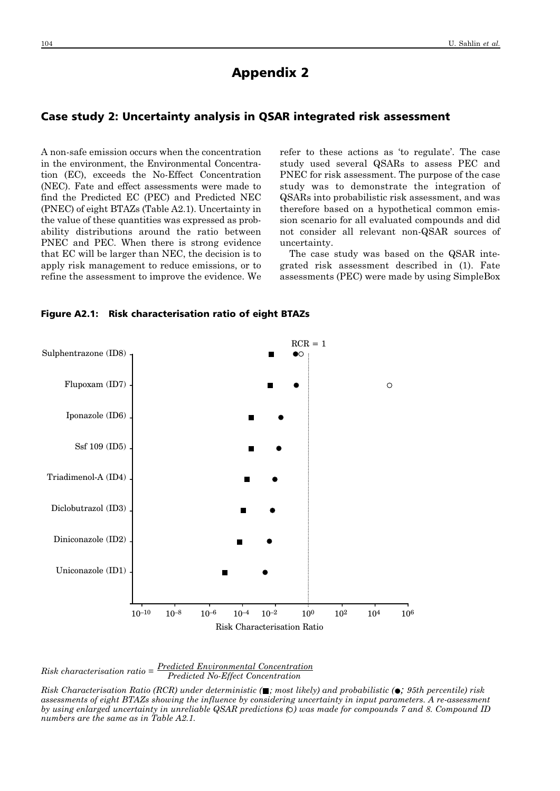### Case study 2: Uncertainty analysis in QSAR integrated risk assessment

A non-safe emission occurs when the concentration in the environment, the Environmental Concentration (EC), exceeds the No-Effect Concentration (NEC). Fate and effect assessments were made to find the Predicted EC (PEC) and Predicted NEC (PNEC) of eight BTAZs (Table A2.1). Uncertainty in the value of these quantities was expressed as probability distributions around the ratio between PNEC and PEC. When there is strong evidence that EC will be larger than NEC, the decision is to apply risk management to reduce emissions, or to refine the assessment to improve the evidence. We refer to these actions as 'to regulate'. The case study used several QSARs to assess PEC and PNEC for risk assessment. The purpose of the case study was to demonstrate the integration of QSARs into probabilistic risk assessment, and was therefore based on a hypothetical common emission scenario for all evaluated compounds and did not consider all relevant non-QSAR sources of uncertainty.

The case study was based on the QSAR integrated risk assessment described in (1). Fate assessments (PEC) were made by using SimpleBox





# *Predicted Environmental Concentration Risk characterisation ratio = Predicted No-Effect Concentration*

*Risk Characterisation Ratio (RCR) under deterministic ( ; most likely) and probabilistic ( ; 95th percentile) risk assessments of eight BTAZs showing the influence by considering uncertainty in input parameters. A re-assessment by using enlarged uncertainty in unreliable QSAR predictions (O) was made for compounds 7 and 8. Compound ID numbers are the same as in Table A2.1.*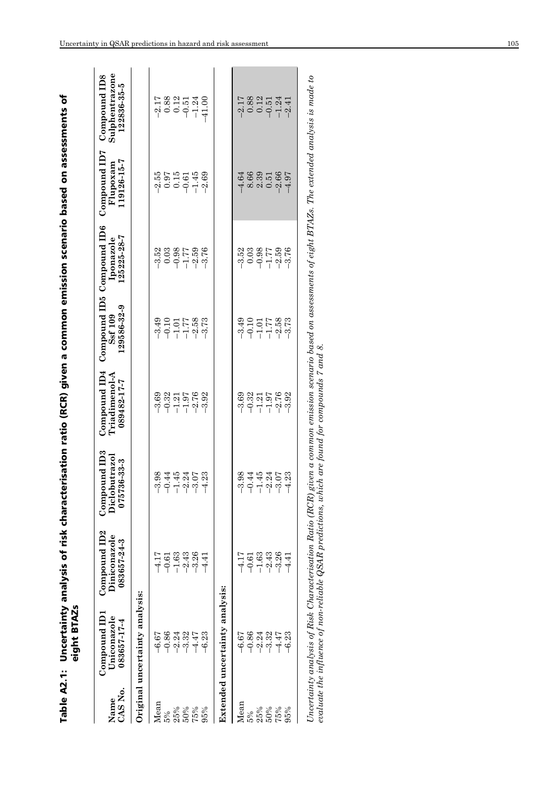| d<br>accorded<br>è<br>Si<br>ころくこくこう<br>cs Csesses Csesses |            |
|-----------------------------------------------------------|------------|
|                                                           |            |
|                                                           |            |
|                                                           |            |
|                                                           |            |
|                                                           |            |
|                                                           |            |
|                                                           |            |
|                                                           |            |
|                                                           |            |
| Uncertainty analysis of risk cha                          |            |
|                                                           |            |
|                                                           |            |
|                                                           | eight BTAZ |
|                                                           |            |
| Table A2.1:                                               |            |
|                                                           |            |

| CAS No.<br>Name | Compound ID <sub>1</sub><br>Uniconazole<br>083657-17-4 | Compound ID <sub>2</sub><br>Diniconazole<br>083657-24-3                                                                                                        | ound ID <sub>3</sub><br>Diclobutrazol<br>$36 - 33 - 3$<br>0757<br>$_{\rm Comp}$ | Compound ID4<br>Triadimenol-A<br>089482-17-7                                                                                                                                                                                   | Compound ID5 Compound ID6<br>Ssf 109<br>Iponazole<br>129586-32-9 | 125225-28-7<br>Iponazole                            | Compound ID7<br>Flupoxam<br>119126-15-7             | Sulphentrazone<br>Compound ID8<br>122836-35-5                  |
|-----------------|--------------------------------------------------------|----------------------------------------------------------------------------------------------------------------------------------------------------------------|---------------------------------------------------------------------------------|--------------------------------------------------------------------------------------------------------------------------------------------------------------------------------------------------------------------------------|------------------------------------------------------------------|-----------------------------------------------------|-----------------------------------------------------|----------------------------------------------------------------|
|                 | Original uncertainty analysis:                         |                                                                                                                                                                |                                                                                 |                                                                                                                                                                                                                                |                                                                  |                                                     |                                                     |                                                                |
| Mean            | $-6.67$                                                | $-4.17$                                                                                                                                                        |                                                                                 |                                                                                                                                                                                                                                |                                                                  |                                                     |                                                     |                                                                |
| $5\%$           | $-0.86$                                                |                                                                                                                                                                |                                                                                 |                                                                                                                                                                                                                                |                                                                  |                                                     |                                                     |                                                                |
| 25%             | $-2.24$                                                | $-0.61$<br>-1.63                                                                                                                                               | $3845$<br>$-945$<br>$-195$<br>$-99$<br>$-99$<br>$-43$<br>$-4$<br>$-1$           | 8933576839<br>77576839<br>777777                                                                                                                                                                                               | $-3.10$<br>$-1.75$<br>$-1.73$<br>$-3.73$                         | $-3.53$<br>$-3.59$<br>$-1.59$<br>$-1.37$<br>$-3.76$ | $-2,55$<br>$-3,55$<br>$-3,55$<br>$-1,45$<br>$-2,69$ |                                                                |
| 50%             | $-3.32$                                                | $-2.43$                                                                                                                                                        |                                                                                 |                                                                                                                                                                                                                                |                                                                  |                                                     |                                                     |                                                                |
| 75%             | $-4.47$                                                | $-3.26$                                                                                                                                                        |                                                                                 |                                                                                                                                                                                                                                |                                                                  |                                                     |                                                     |                                                                |
| 95%             | $-6.23$                                                | $-4.41$                                                                                                                                                        |                                                                                 |                                                                                                                                                                                                                                |                                                                  |                                                     |                                                     | $-2.58$<br>$-3.54$<br>$-3.54$<br>$-1.54$<br>$-1.54$<br>$-1.54$ |
|                 | Extended uncertainty analysis:                         |                                                                                                                                                                |                                                                                 |                                                                                                                                                                                                                                |                                                                  |                                                     |                                                     |                                                                |
| Mean            | $-6.67$                                                | $-4.17$                                                                                                                                                        |                                                                                 |                                                                                                                                                                                                                                |                                                                  |                                                     |                                                     |                                                                |
| 5%              | $-0.86$                                                | $\frac{-0.61}{-2.43}$                                                                                                                                          | 88<br>534530533<br>777777                                                       | $-3.375$<br>$-1.576$<br>$-1.576$<br>$-1.59$                                                                                                                                                                                    | $-3.10$<br>$-3.10$<br>$-1.78$<br>$-3.58$<br>$-3.73$              | $-3.52$<br>$-3.53$<br>$-1.53$<br>$-1.33$<br>$-3.76$ | $48001007$<br>$480010007$<br>$49000007$             | $2,17$<br>$0.88$<br>$0.15$<br>$0.54$<br>$0.741$<br>$0.41$      |
| 25%             | $-2.24$<br>$-3.32$                                     |                                                                                                                                                                |                                                                                 |                                                                                                                                                                                                                                |                                                                  |                                                     |                                                     |                                                                |
| 50%             |                                                        |                                                                                                                                                                |                                                                                 |                                                                                                                                                                                                                                |                                                                  |                                                     |                                                     |                                                                |
| 75%             | $-4.47$                                                | $-3.26$                                                                                                                                                        |                                                                                 |                                                                                                                                                                                                                                |                                                                  |                                                     |                                                     |                                                                |
| 95%             | $-6.23$                                                | $-4.41$                                                                                                                                                        |                                                                                 |                                                                                                                                                                                                                                |                                                                  |                                                     |                                                     |                                                                |
|                 |                                                        | $H_{\alpha\alpha}^*$ and $H_{\alpha\beta}^*$ are $H_{\alpha\beta}^*$ . In the contract of $H_{\alpha\beta}^*$ are $H_{\alpha\beta}^*$ . In $H_{\alpha\beta}^*$ |                                                                                 | of all property that is a constant of the HD AFD of the DHD and the contract constant of the constant of the contract of the contract of the contract of the contract of the contract of the contract of the contract of the c |                                                                  |                                                     |                                                     |                                                                |

Uncertainty analysis of Kisk Characterisation Ratio (RCR) given a common emission scenario based on assessments of eight BTAZs. The extended analysis is made to<br>evaluate the influence of non-reliable QSAR predictions, whic *Uncertainty analysis of Risk Characterisation Ratio (RCR) given a common emission scenario based on assessments of eight BTAZs. The extended analysis is made to evaluate the influence of non-reliable QSAR predictions, which are found for compounds 7 and 8.*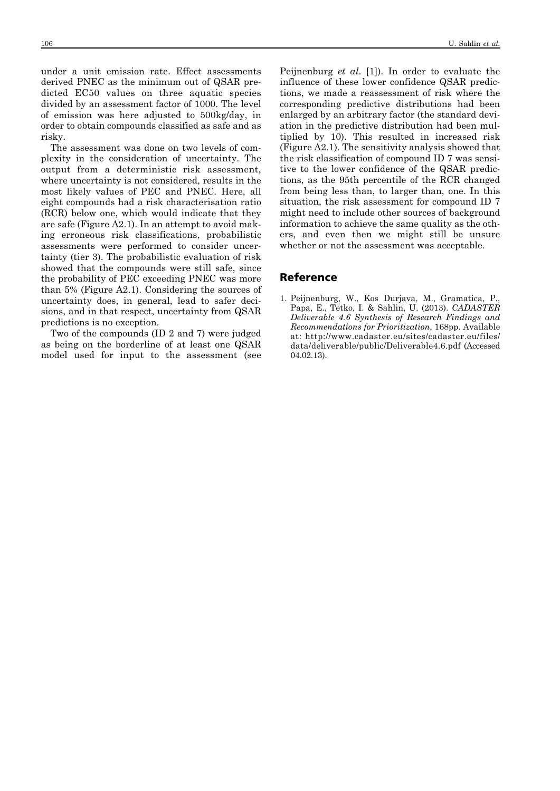under a unit emission rate. Effect assessments derived PNEC as the minimum out of QSAR predicted EC50 values on three aquatic species divided by an assessment factor of 1000. The level of emission was here adjusted to 500kg/day, in order to obtain compounds classified as safe and as risky.

The assessment was done on two levels of complexity in the consideration of uncertainty. The output from a deterministic risk assessment, where uncertainty is not considered, results in the most likely values of PEC and PNEC. Here, all eight compounds had a risk characterisation ratio (RCR) below one, which would indicate that they are safe (Figure A2.1). In an attempt to avoid making erroneous risk classifications, probabilistic assessments were performed to consider uncertainty (tier 3). The probabilistic evaluation of risk showed that the compounds were still safe, since the probability of PEC exceeding PNEC was more than 5% (Figure A2.1). Considering the sources of uncertainty does, in general, lead to safer decisions, and in that respect, uncertainty from QSAR predictions is no exception.

Two of the compounds (ID 2 and 7) were judged as being on the borderline of at least one QSAR model used for input to the assessment (see Peijnenburg *et al*. [1]). In order to evaluate the influence of these lower confidence QSAR predictions, we made a reassessment of risk where the corresponding predictive distributions had been enlarged by an arbitrary factor (the standard deviation in the predictive distribution had been multiplied by 10). This resulted in increased risk (Figure A2.1). The sensitivity analysis showed that the risk classification of compound ID 7 was sensitive to the lower confidence of the QSAR predictions, as the 95th percentile of the RCR changed from being less than, to larger than, one. In this situation, the risk assessment for compound ID 7 might need to include other sources of background information to achieve the same quality as the others, and even then we might still be unsure whether or not the assessment was acceptable.

### Reference

1. Peijnenburg, W., Kos Durjava, M., Gramatica, P., Papa, E., Tetko, I. & Sahlin, U. (2013). *CADASTER Deliverable 4.6 Synthesis of Research Findings and Recommendations for Prioritization*, 168pp. Available at: http://www.cadaster.eu/sites/cadaster.eu/files/ data/deliverable/public/Deliverable4.6.pdf (Accessed 04.02.13).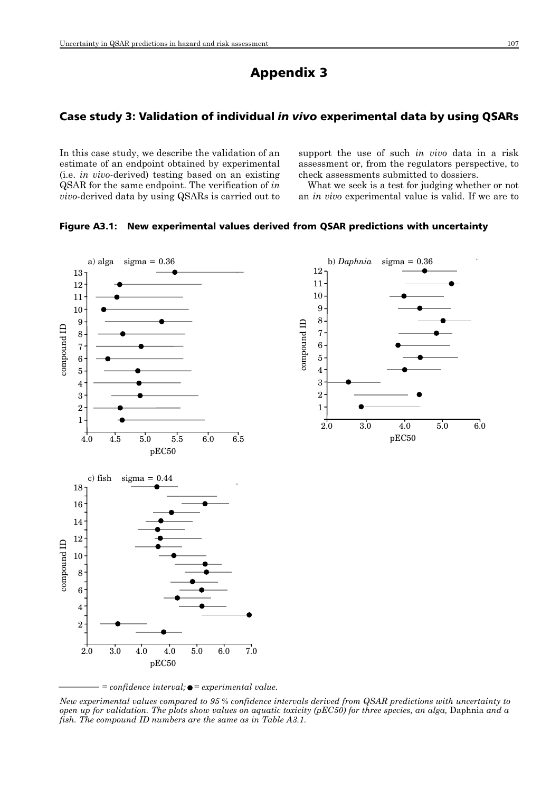### Case study 3: Validation of individual *in vivo* experimental data by using QSARs

In this case study, we describe the validation of an estimate of an endpoint obtained by experimental (i.e. *in vivo*-derived) testing based on an existing QSAR for the same endpoint. The verification of *in vivo*-derived data by using QSARs is carried out to support the use of such *in vivo* data in a risk assessment or, from the regulators perspective, to check assessments submitted to dossiers.

What we seek is a test for judging whether or not an *in vivo* experimental value is valid. If we are to

### Figure A3.1: New experimental values derived from QSAR predictions with uncertainty



*= confidence interval; = experimental value.*

*New experimental values compared to 95 % confidence intervals derived from QSAR predictions with uncertainty to open up for validation. The plots show values on aquatic toxicity (pEC50) for three species, an alga, Daphnia and a fish. The compound ID numbers are the same as in Table A3.1.*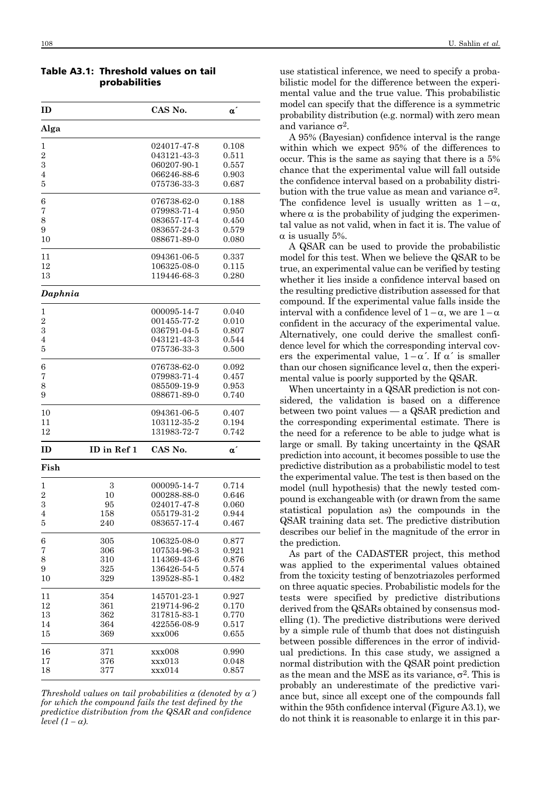| ID                      |             | CAS No.     | α΄          |
|-------------------------|-------------|-------------|-------------|
| Alga                    |             |             |             |
| 1                       |             | 024017-47-8 | 0.108       |
| $\overline{c}$          |             | 043121-43-3 | 0.511       |
| 3                       |             | 060207-90-1 | 0.557       |
| $\overline{4}$          |             | 066246-88-6 | 0.903       |
| 5                       |             | 075736-33-3 | 0.687       |
| 6                       |             | 076738-62-0 | 0.188       |
| 7                       |             | 079983-71-4 | 0.950       |
| 8                       |             | 083657-17-4 | 0.450       |
| 9                       |             | 083657-24-3 | 0.579       |
| 10                      |             | 088671-89-0 | 0.080       |
| 11                      |             | 094361-06-5 | 0.337       |
| 12                      |             | 106325-08-0 | 0.115       |
| 13                      |             | 119446-68-3 | 0.280       |
| Daphnia                 |             |             |             |
| 1                       |             | 000095-14-7 | 0.040       |
| $\overline{\mathbf{c}}$ |             | 001455-77-2 | 0.010       |
| 3                       |             | 036791-04-5 | $_{0.807}$  |
| $\overline{4}$          |             | 043121-43-3 | 0.544       |
| 5                       |             | 075736-33-3 | 0.500       |
| 6                       |             | 076738-62-0 | 0.092       |
| 7                       |             | 079983-71-4 | 0.457       |
| 8                       |             | 085509-19-9 | 0.953       |
| 9                       |             | 088671-89-0 | 0.740       |
| 10                      |             | 094361-06-5 | 0.407       |
| 11                      |             | 103112-35-2 | 0.194       |
| 12                      |             | 131983-72-7 | 0.742       |
| ID                      | ID in Ref 1 | CAS No.     | α´          |
| Fish                    |             |             |             |
| 1                       | 3           | 000095-14-7 | 0.714       |
| $\overline{\mathbf{c}}$ | 10          | 000288-88-0 | 0.646       |
| 3                       | 95          | 024017-47-8 | 0.060       |
| $\overline{4}$          | 158         | 055179-31-2 | 0.944       |
| $\overline{5}$          | 240         | 083657-17-4 | 0.467       |
| 6                       | 305         | 106325-08-0 | 0.877       |
| 7                       | 306         | 107534-96-3 | 0.921       |
| 8                       | 310         | 114369-43-6 | ${0.876}$   |
| 9                       | 325         | 136426-54-5 | 0.574       |
| 10                      | 329         | 139528-85-1 | 0.482       |
| 11                      | 354         | 145701-23-1 | ${0.927}$   |
| 12                      | 361         | 219714-96-2 | 0.170       |
| 13                      | 362         | 317815-83-1 | 0.770       |
| 14                      | 364         | 422556-08-9 | $\rm 0.517$ |
| 15                      | 369         | xxx006      | 0.655       |
| 16                      | 371         | xxx008      | 0.990       |
| 17                      | 376         | xxx013      | 0.048       |
| 18                      | 377         | xxx014      | 0.857       |
|                         |             |             |             |

### Table A3.1: Threshold values on tail probabilities

*Threshold values on tail probabilities* <sup>α</sup> *(denoted by* α*´) for which the compound fails the test defined by the predictive distribution from the QSAR and confidence level*  $(1 - \alpha)$ *.* 

use statistical inference, we need to specify a probabilistic model for the difference between the experimental value and the true value. This probabilistic model can specify that the difference is a symmetric probability distribution (e.g. normal) with zero mean and variance  $\sigma^2$ .

A 95% (Bayesian) confidence interval is the range within which we expect 95% of the differences to occur. This is the same as saying that there is a 5% chance that the experimental value will fall outside the confidence interval based on a probability distribution with the true value as mean and variance  $\sigma^2$ . The confidence level is usually written as  $1-\alpha$ . where  $\alpha$  is the probability of judging the experimental value as not valid, when in fact it is. The value of  $\alpha$  is usually 5%.

A QSAR can be used to provide the probabilistic model for this test. When we believe the QSAR to be true, an experimental value can be verified by testing whether it lies inside a confidence interval based on the resulting predictive distribution assessed for that compound. If the experimental value falls inside the interval with a confidence level of  $1-\alpha$ , we are  $1-\alpha$ confident in the accuracy of the experimental value. Alternatively, one could derive the smallest confidence level for which the corresponding interval covers the experimental value,  $1 - \alpha'$ . If  $\alpha'$  is smaller than our chosen significance level  $\alpha$ , then the experimental value is poorly supported by the QSAR.

When uncertainty in a QSAR prediction is not considered, the validation is based on a difference between two point values — a QSAR prediction and the corresponding experimental estimate. There is the need for a reference to be able to judge what is large or small. By taking uncertainty in the QSAR prediction into account, it becomes possible to use the predictive distribution as a probabilistic model to test the experimental value. The test is then based on the model (null hypothesis) that the newly tested compound is exchangeable with (or drawn from the same statistical population as) the compounds in the QSAR training data set. The predictive distribution describes our belief in the magnitude of the error in the prediction.

As part of the CADASTER project, this method was applied to the experimental values obtained from the toxicity testing of benzotriazoles performed on three aquatic species. Probabilistic models for the tests were specified by predictive distributions derived from the QSARs obtained by consensus modelling (1). The predictive distributions were derived by a simple rule of thumb that does not distinguish between possible differences in the error of individual predictions. In this case study, we assigned a normal distribution with the QSAR point prediction as the mean and the MSE as its variance,  $\sigma^2$ . This is probably an underestimate of the predictive variance but, since all except one of the compounds fall within the 95th confidence interval (Figure A3.1), we do not think it is reasonable to enlarge it in this par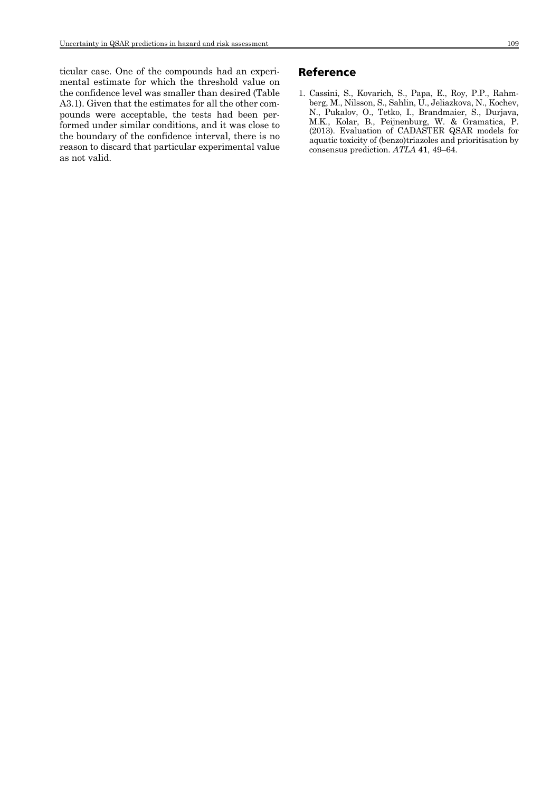ticular case. One of the compounds had an experimental estimate for which the threshold value on the confidence level was smaller than desired (Table A3.1). Given that the estimates for all the other compounds were acceptable, the tests had been performed under similar conditions, and it was close to the boundary of the confidence interval, there is no reason to discard that particular experimental value as not valid.

### Reference

1. Cassini, S., Kovarich, S., Papa, E., Roy, P.P., Rahmberg, M., Nilsson, S., Sahlin, U., Jeliazkova, N., Kochev, N., Pukalov, O., Tetko, I., Brandmaier, S., Durjava, M.K., Kolar, B., Peijnenburg, W. & Gramatica, P. (2013). Evaluation of CADASTER QSAR models for aquatic toxicity of (benzo)triazoles and prioritisation by consensus prediction. *ATLA* **41**, 49–64.